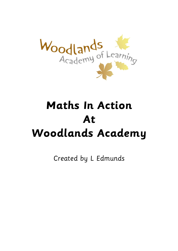

# **Maths In Action At Woodlands Academy**

Created by L Edmunds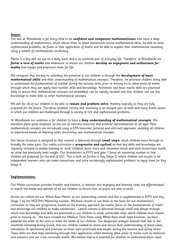#### **Intent.**

Our aim at Woodlands is for every child to be **confident and competent mathematicians** who have a deep understanding of mathematics, which allows them to make connections across mathematical ideas, be able to solve sophisticated problems, be fluent in their application of maths and be able to explain their mathematical reasoning using a wealth of mathematical vocabulary.

Maths is a key skill we use on a daily basis and is an essential part of everyday life. Therefore, at Woodlands we **foster a love of maths** and endeavour to ensure our children **develop an enjoyment and enthusiasm for maths** that equips and empowers them for life.

We recognise that the key to unlocking the potential in our children is through the **development of basic mathematical skills** and their understanding of mathematical concepts. Therefore, we prioritise children being able to understand the fundamentals of number during the autumn term, prior to moving on to other areas of maths through which they can apply their number skills and knowledge. Arithmetic and basic maths skills are practised daily to ensure that mathematical concepts are embedded, can be rapidly recalled and that children can use this knowledge to make links to other mathematical concepts.

We aim for all of our children to be able to **reason and problem solve**; thinking logically so they are fully prepared for the future. Therefore, problem solving and reasoning is an integral part of each and every maths lesson in which our children are challenged through a variety of rich and sophisticated problems.

At Woodlands our ambition is for children to have a **deep understanding of mathematical concepts**. We therefore place great emphasis on the use of concrete resources and pictorial representations at all ages. New mathematical concepts are introduced using a CPA (concrete, pictorial and abstract) approach; enabling all children to experience hands on learning when discovering new mathematical concepts.

Our lesson structure is designed so that content is delivered through **small steps**, which children move through at broadly the same pace. Our maths curriculum is **progressive and cyclical** so that key skills and knowledge are regularly revisited to enable learning to 'stick' (children know more and remember more) and each lesson/topic builds on what has previously been taught. Our foundations in EYFS and year 1 focus on mastering number so that children are prepared for the end of KS1. This is built on further in Key Stage 2, where children are taught to be independent learners who can make connections and solve increasingly sophisticated problems to equip them for Key Stage 3.

#### **Implementation.**

Our Maths curriculum provides breadth and balance, is relevant and engaging and learning tasks are differentiated to match the needs and abilities of all our children to ensure that all pupils are able to excel.

Across our school we use 'White Rose Maths' as our overarching scheme and this is supplemented in EYFS and Key Stage 1 by the NCETM's Mastering number. We have chosen to use these as the basis for our mathematics curriculum as they are progressive, based on the mastery approach for maths, focus on the fundamentals of maths and encourage our children to make connections. Lesson content is delivered through small step design through which new knowledge and skills are presented to our children in small, achievable steps which children must master, prior to moving on. We have created our Medium Term Plans using White Rose small steps however, we have adapted the order of the units to meet the needs of our children. Our diagnostic analysis showed that due to the unsettled schooling during Covid, that our children needed to revise and secure their understanding of place value, calculation (4 operations) and fractions so these were prioritised and taught during the autumn and spring terms. These skills are then kept simmering through their application whilst learning other areas of maths such as measures and statistics and our cross curricular maths. We believe that it is essential for children to understand place value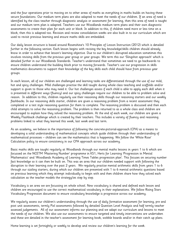and the four operations prior to moving on to other areas of maths as everything in maths builds on having these secure foundations. Our medium term plans are also adapted to meet the needs of our children. If an area of need is identified by the class teacher through diagnostic analysis or assessment for learning, then this area of need is taught and our medium term plan is adapted. Teachers use our Woodlands medium term plans and their own diagnostic assessments to create their plan for each unit or block. In addition to this, if children need more or less time on a block, then this is adapted too. Revision and review consolidation weeks are also built in to our curriculum which are used to revisit previous learning and ensure maths skills are embedded.

Our daily lesson structure is based around Rosenshine's 10 Principles of Lesson Instruction (2012) which is detailed further in the following section. Each lesson begins with revising the key knowledge/skills children should already know in order to achieve that lesson's learning objective. Due to our children's disrupted education sometimes this involves revising skills from the previous year group or year groups. We term this our 'Slingshot approach' which is detailed further in our Woodlands Standards. Teacher's understand that sometimes we need to go backwards to ensure children understand the building block prior to moving forwards. Teacher's use our progression in skills mathematics documents to support their knowledge of the key skills each child should have from previous year groups.

In each lesson, all of our children are challenged and learning tasks are differentiated through the use of our mild, hot and spicy challenges. Mild challenges practise the skill taught during whole class teaching and scaffolds and/or support is given to those who may need it. Our hot challenges assess if each child is able to apply each skill when it is presented in different ways (fluency) and our spicy challenges require our children to be able to problem solve and reason. In addition to this, children regularly use their reasoning skills though our reasoning starters and our weekly flashbacks. In our reasoning skills starter, children are given a reasoning problem from a recent assessment they completed or a test style reasoning question for them to complete. The reasoning problem is discussed and then each child attempts to solve the reasoning problem. The problem is then returned to as a whole class and children are encouraged to explain how they solved the reasoning problem. At the end of each week, our children are given a Weekly Flashback challenge which is created by their teachers. This includes a variety of fluency and reasoning problems linked to what they learned this week, last week and last term.

As an academy, we believe in the importance of following the concrete-pictorial-approach (CPA) as a means to developing a solid understanding of mathematical concepts which guide children through their understanding of mathematical processes – children can see the mathematics that is happening. We follow the 'White Rose' Calculation policy to ensure consistency in our CPA approach across our academy.

Basic maths skills are taught regularly at Woodlands through our mental maths lessons in years 1 to 6 which are focussed on the NCETM 'Mastering Number' programme in KS1, Herts for Learning 'Progression in Mental Mathematics' and 'Woodlands Academy of Learning Times Tables progression plan'. This focuses on securing number fact knowledge so it can then be built on. This was an area that our children needed support with following the disruption to their learning over the past 2 years. We regularly practise mental arithmetic skills from years 1 to 6 through our sizzling starters, during which our children are presented with 1 to 6 mental arithmetic questions based on previous learning which they attempt individually to begin with and then children share how they solved each calculation as the teacher models the strategy/ies step by step.

Vocabulary is an area we are focussing on whole school. New vocabulary is shared and defined each lesson and children are encouraged to use the correct mathematical vocabulary in their explanations. We follow Rising Stars Vocabulary Progression document to ensure vocabulary knowledge is progressive across our academy.

We regularly assess our children's understanding through the use of daily formative assessment for learning, pre and post unit assessments, termly Pixl assessments followed by detailed Question Level Analysis and half termly teacher assessed judgements. All of our assessment informs our planning and we adapt our curriculum and lessons to meet the needs of our children. We also use our assessments to ensure targeted and timely interventions are undertaken and these are detailed in the teacher's assessment for learning book, wobble boards and/or in their catch up plans.

Home learning is set fortnightly or weekly to develop and review our children's learning for the week.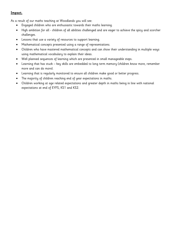# **Impact.**

As a result of our maths teaching at Woodlands you will see:

- Engaged children who are enthusiastic towards their maths learning.
- High ambition for all children of all abilities challenged and are eager to achieve the spicy and scorcher challenges.
- Lessons that use a variety of resources to support learning.
- Mathematical concepts presented using a range of representations.
- Children who have mastered mathematical concepts and can show their understanding in multiple ways using mathematical vocabulary to explain their ideas.
- Well planned sequences of learning which are presented in small manageable steps.
- Learning that has stuck key skills are embedded to long term memory (children know more, remember more and can do more).
- Learning that is regularly monitored to ensure all children make good or better progress.
- The majority of children reaching end of year expectations in maths.
- Children working at age related expectations and greater depth in maths being in line with national expectations at end of EYFS, KS1 and KS2.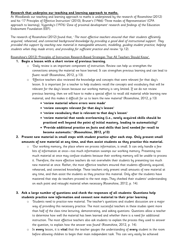#### **Research that underpins our teaching and learning approach to maths.**

At Woodlands our teaching and learning approach to maths is underpinned by the research of Rosenshine (2012) and his '17 Principles of Effective Instruction' (2010), Bruner's (1966) 'Three modes of Representation' (CPA approach to learning), Vygotsky's (1976) 'Zone of proximal development' research and findings of the Education Endowment Foundation (EEF).

The research of Rosenshine (2012) found that, 'The most effective teachers ensured that their students efficiently acquired, rehearsed, and connected background knowledge by providing a good deal of instructional support. They provided this support by teaching new material in manageable amounts, modelling, guiding student practice, helping students when they made errors, and providing for sufficient practice and review.' (p.12).

Rosenshine's (2012) 'Principles of Instruction Research-Based Strategies That All Teachers Should Know'.

#### **1. Begin a lesson with a short review of previous learning.**

- o 'Daily review is an important component of instruction. Review can help us strengthen the connections among the material we have learned. It can strengthen previous learning and can lead to fluent recall' (Rosenshine, 2012, p.13).
- o 'Effective teachers also reviewed the knowledge and concepts that were relevant for that day's lesson. It is important for a teacher to help students recall the concepts and vocabulary that will be relevant for the day's lesson because our working memory is very limited. If we do not review previous learning, then we will have to make a special effort to recall old material while learning new material, and this makes it difficult for us to learn the new material' (Rosenshine, 2012, p.13)
	- **'review material where errors were made'**
	- **'review concepts relevant for that day's lesson'**
	- **'review vocabulary that is relevant to that day's lesson'**
	- **'review material that needs overlearning (i.e., newly acquired skills should be practiced well beyond the point of initial mastery, leading to automaticity)'**
	- **'Provide additional practice on facts and skills that [are] needed for recall to become automatic.' (Rosenshine, 2012, p13)**
- **2. Present new material in small steps with student practice after each step. Only present small amounts of new material at any time, and then assist students as they practise this material.**
	- o 'Our working memory, the place where we process information, is small. It can only handle a few bits of information at once—too much information swamps our working memory. Presenting too much material at once may confuse students because their working memory will be unable to process it. Therefore, the more effective teachers do not overwhelm their students by presenting too much new material at once. Rather, the most effective teachers ensured that students efficiently acquired, rehearsed, and connected knowledge. These teachers only present small amounts of new material at any time, and then assist the students as they practice this material. Only after the students have mastered that step do teachers proceed to the next steps…They checked their students' understanding on each point and retaught material when necessary (Rosenshine, 2012, p. 14).

# **3. Ask a large number of questions and check the responses of all students: Questions help students practice new information and connect new material to their prior learning**

- o 'Students need to practice new material. The teacher's questions and student discussion are a major way of providing this necessary practice. The most successful teachers in these studies spent more than half of the class time lecturing, demonstrating, and asking questions. Questions allow a teacher to determine how well the material has been learned and whether there is a need for additional instruction. The most effective teachers also ask students to explain the process they used to answer the question, to explain how the answer was found' (Rosenshine, 2012, p. 14).
- o In **every** lesson, it is **vital** that the teacher gauges the understanding of **every** student in the room before allowing children to begin their main independent task. This can very easily be achieved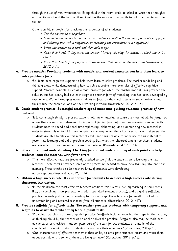through the use of mini whiteboards. Every child in the room could be asked to write their thoughts on a whiteboard and the teacher then circulates the room or asks pupils to hold their whiteboard in the air.

Other possible strategies for checking the responses of all students:

- 'Tell the answer to a neighbour.'
- 'Summarise the main idea in one or two sentences, writing the summary on a piece of paper and sharing this with a neighbour, or repeating the procedures to a neighbour.'
- 'Write the answer on a card and then hold it up.'
- 'Raise their hands if they know the answer (thereby allowing the teacher to check the entire class).'
- 'Raise their hands if they agree with the answer that someone else has given.' (Rosenshine, 2012, p.14)

# **4. Provide models: Providing students with models and worked examples can help them learn to solve problems faster.**

- o 'Students need cognitive support to help them learn to solve problems. The teacher modelling and thinking aloud while demonstrating how to solve a problem are examples of effective cognitive support. Worked examples (such as a math problem for which the teacher not only has provided the solution but has clearly laid out each step) are another form of modelling that has been developed by researchers. Worked examples allow students to focus on the specific steps to solve problems and thus reduce the cognitive load on their working memory' (Rosenshine, 2012, p. 14).
- **5. Guide student practice: Successful teachers spend more time guiding students' practice of new material.**
	- o 'It is not enough simply to present students with new material, because the material will be forgotten unless there is sufficient rehearsal. An important finding from information-processing research is that students need to spend additional time rephrasing, elaborating, and summarizing new material in order to store this material in their long-term memory. When there has been sufficient rehearsal, the students are able to retrieve this material easily and thus are able to make use of this material to foster new learning and aid in problem solving. But when the rehearsal time is too short, students are less able to store, remember, or use the material' (Rosenshine, 2012, p. 14).
- **6. Check for student understanding: Checking for student understanding at each point can help students learn the material with fewer errors.**
	- o 'The more effective teachers frequently checked to see if all the students were learning the new material. These checks provided some of the processing needed to move new learning into long term memory. These checks also let teachers know if students were developing misconceptions.'(Rosenshine, 2012, p.16)
- **7. Obtain a high success rate: It is important for students to achieve a high success rate during classroom instruction.**
	- o 'In the classroom the most effective teachers obtained this success level by teaching in small steps (i.e., by combining short presentations with supervised student practice), and by giving sufficient practice on each part before proceeding to the next step. These teachers frequently checked for understanding and required responses from all students.' (Rosenshine, 2012, p17)
- **8. Provide scaffolds for difficult tasks: The teacher provides students with temporary supports and scaffolds to assist them when they learn difficult tasks.**
	- o 'Providing scaffolds is a form of guided practice. Scaffolds include modelling the steps by the teacher, or thinking aloud by the teacher as he or she solves the problem. Scaffolds also may be tools, such as cue cards or checklists, that complete part of the task for the students, or a model of the completed task against which students can compare their own work.' (Rosenshine, 2012p.18)
	- o 'One characteristic of effective teachers is their ability to anticipate students' errors and warn them about possible errors some of them are likely to make.' (Rosenshine, 2012, p.18).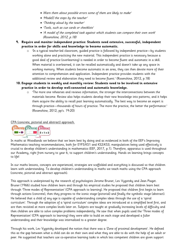- Warn them about possible errors some of them are likely to make'
- 'Mode[l] the steps by the teacher'
- 'Thinking aloud by the teacher'
- 'Tools, such as cue cards or checklists'
- 'A model of the completed task against which students can compare their own work' (Rosenshine, 2012, p.18)
- **9. Require and monitor independent practice: Students need extensive, successful, independent practice in order for skills and knowledge to become automatic.**
	- o 'In a typical teacher-led classroom, guided practice is followed by independent practice—by students working alone and practicing the new material. This independent practice is necessary because a good deal of practice (overlearning) is needed in order to become fluent and automatic in a skill. When material is overlearned, it can be recalled automatically and doesn't take up any space in working memory. When students become automatic in an area, they can then devote more of their attention to comprehension and application. Independent practice provides students with the additional review and elaboration they need to become fluent.' (Rosenshine, 2012, p.18)
- **10. Engage students in weekly and monthly review: Students need to be involved in extensive practice in order to develop well-connected and automatic knowledge.**
	- o 'The more one rehearses and reviews information, the stronger the interconnections between the materials become. Review also helps students develop their new knowledge into patterns, and it helps them acquire the ability to recall past learning automatically. The best way to become an expert is through practice—thousands of hours of practice. The more the practice, the better the performance.' (Rosenshine, 2012, pp's. 19-20)

#### CPA (concrete, pictorial and abstract) approach.



In maths at Woodlands we believe that we learn best by doing and as evidenced in both of the EEF's Improving Mathematics teaching recommendations, both for EYFS/KS1 and KS2/KS3, manipulatives being used effectively is crucial to develop children's understanding in mathematics (EEF, 2017, p.1). Therefore, apparatus is used throughout our Academy, right from nursery to year 6, to support children's understanding. Hands on learning brings concepts to life!

In our maths lessons, concepts are experienced, strategies are scaffolded and everything is discussed so that children learn with understanding. To develop children's understanding in maths we teach maths using the CPA approach (concrete, pictorial and abstract approach).

This approach is underpinned by the research of psychologists Jerome Bruner, Lev Vygotsky and Jean Piaget. Bruner (1966) studied how children learn and through his empirical studies he proposed that children learn best through 'Three modes of Representation' (CPA approach to learning). He proposed that children first begin to learn through actions (concrete), then they progress to the iconic stage (pictorial) and finally the symbolic stage (abstract). He believed that a child of any age is capable of understanding complex ideas through the use of a 'spiral curriculum'. Through the adoption of a 'spiral curriculum' complex ideas are introduced at a simplified level first, and are then revisited at more complex levels later on. Subjects are taught at gradually increasing levels of difficulty and then children are able to solve complex problems independently. He saw that when pupils used the 'Three modes of Representation' (CPA approach to learning) they were able to build on each stage and developed a fuller understanding and their knowledge was internalised to a greater degree.

Through his work, Lev Vygotsky developed the notion that there was a 'Zone of proximal development'. He defined this as the gap between what a child can do on their own and what they are able to do with the help of an adult or peer. He suggested that teachers use co-operative learning tasks in which less competent children are given support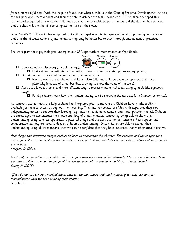from a more skilful peer. With this help, he found that when a child is in the 'Zone of Proximal Development' the help of their peer gives them a boost and they are able to achieve the task. Wood et al. (1976) then developed this further and suggested that once the child has achieved the task with support, the scaffold should then be removed and the child will then be able to complete the task on their own.

Jean Piaget's (1951) work also suggested that children aged seven to ten years old work in primarily concrete ways and that the abstract notions of mathematics may only be accessible to them through embodiment in practical resources.

The work from these psychologists underpins our CPA approach to mathematics at Woodlands.

- $\Box$  Concrete allows discovery (the doing stage).
	- First children investigate mathematical concepts using concrete apparatus (equipment).
- $\Box$  Pictorial allows conceptual understanding (the seeing stage).
	- Next concepts are displayed to children pictorially and children begin to represent their ideas pictorially (e.g. use of a number line, drawing to show the value of numbers).
- $\Box$  Abstract allows a shorter and more efficient way to represent numerical ideas using symbols (the symbolic stage).
	- Finally children learn how their understanding can be shown in the abstract form (number sentences).

All concepts within maths are fully explained and explored prior to moving on. Children have 'maths toolkits' available for them to access throughout their learning. Their 'maths toolkits' are filled with apparatus they can independently access to support their learning (e.g. base ten equipment, number lines, multiplication tables). Children are encouraged to demonstrate their understanding of a mathematical concept by being able to show their understanding using concrete apparatus, a pictorial image and the abstract number sentence. Peer support and collaborative learning are used to deepen children's understanding. Once children are able to explain their understanding using all three means, then we can be confident that they have mastered that mathematical objective.

Real things and structured images enables children to understand the abstract. The concrete and the images are a means for children to understand the symbolic so it's important to move between all modes to allow children to make connections

Morgan, D. (2016)

Used well, manipulatives can enable pupils to inquire themselves- becoming independent learners and thinkers. They can also provide a common language with which to communicate cognitive models for abstract ideas.' Drury, H. (2015)

"If we do not use concrete manipulations, then we can not understand mathematics. If we only use concrete manipulations, then we are not doing mathematics." Gu (2015)

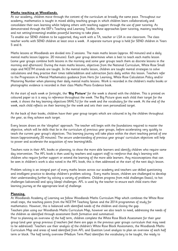#### **Maths teaching at Woodlands.**

At our academy, children move through the content of the curriculum at broadly the same pace. Throughout our academy, mathematics is taught in mixed ability teaching groups in which children learn collaboratively and consolidate their own learning whilst helping others with teaching support through the use of peer tutoring. As demonstrated through the EEF's Teaching and Learning Toolkit, these approaches (peer tutoring, mastery teaching and not setting/streaming) enables powerful learning to take place.

To enable our SEND children to be supported, they work with a TA, teacher or LSA in one classroom. The class teacher works with SEND children at least once a week. A separate nurture group is held for SEND children in Years 5 and 6.

Maths lessons at Woodlands are divided into 2 sessions. The main maths lesson (approx. 60 minutes) and a daily mental maths lesson (approx. 20 minutes). Each year group determines when is best to teach each maths lesson (some year groups combine both lessons in the morning and some year groups teach them as discrete lessons in the morning and afternoon). During the main maths lessons, objectives from the National Curriculum, White Rose Small steps and NCETM strands are taught. In the mental maths lesson, children are taught mental strategies to solve calculations and they practise their times table/addition and subtraction facts daily within this lesson. Teachers refer to the Progression in Mental Mathematics guidance from Herts for Learning, White Rose Calculation Policy and/or Mastering Number when planning their daily mental maths lessons. Work is recorded in the children's maths books or photographic evidence is recorded in their class Maths Photo Evidence book.

At the start of each week or fortnight, the **'Big Picture'** for the week is shared with the children. This is printed on coloured paper so it is easy to reference throughout the week. The Big Picture gives each child their target for the week, it shows the key learning objectives (WALTs) for the week and the vocabulary for the week. At the end of the week, each child reflects on their learning for the week and sets their own personalised target.

At the back of their books, children have their year group targets which are coloured in by the children throughout the year, as they achieve each target.

Every lesson draws on the 'slingshot' approach. The teacher will begin with the foundations required to master the objective, which will be skills that lie in the curriculum of previous year groups, before accelerating very quickly to teach the current year group's objectives. This learning journey will take place within the short teaching period of one lesson (approximately 20 minutes). The secure understanding of previous year groups' curriculum objectives will help to power and accelerate the acquisition of new learning/skills.

Teachers note in their AFL books or planning, to show the more able learners and identify children who require same day intervention. The AFL book is then used by teachers and support staff to reinforce that day's learning with children who require further support or extend the learning of the more able learners. Any misconceptions that can be seen in children's work is also noted in the AFL book, this is then addressed at the start of the next day's lesson.

Problem solving is an integral part of every maths lesson across our academy and teachers use skilled questioning and intelligent practice to develop children's problem solving. Every maths lesson, children are challenged to develop their understanding further by solving a variety of problems. Children progress from mild challenges (basic), to hot challenges (advanced) and spicy (deep) challenges. AFL is used by the teacher to ensure each child starts their learning journey at the appropriate level of challenge.

# **Planning.**

At Woodlands Academy of Learning we follow Woodlands Maths Curriculum Map which combines the White Rose small steps, the teaching points from the NCETM Teaching Spines and the 2014 programmes of study for mathematics. However, this is balanced with identified needs of the children and closing the gap.

Teachers plan using our Woodlands Maths Curriculum Map, however we also teach to need, addressing the needs of the children as identified through assessment (both formative and summative).

Prior to planning an overview of the half term, children complete the White Rose Block Assessment for their year group (and year group previous if teachers feel there are gaps in the previous year groups curriculum that may need to be addressed). Teachers use their analysis of the children's White Rose Block Assessments, the Woodlands Maths Curriculum Map and areas of need identified from AFL and Question Level analysis to plan an overview of each half term or block. The half termly overview (Medium Term Plan) identifies the vocabulary to be taught, the ready to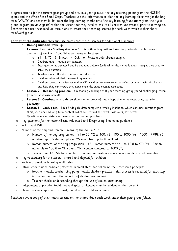progress criteria for the current year group and previous year group/s, the key teaching points from the NCETM spines and the White Rose Small Steps. Teachers use this information to plan the key learning objectives for the half term (WALTs) and teachers bullet point the key learning checkpoints (the key learning foundations from their year group or from previous years) within the lesson that they need to ensure all children understand, prior to moving on. Teachers then use these medium term plans to create their teaching screens for each week which is their short term/weekly plan.

# **Format of the daily plan/screens** (see maths consistency screens for additional guidance)

- o **Rolling numbers** warm up
- o **Lessons 1 and 4 - Sizzling starter** 1 to 6 arithmetic questions linked to previously taught concepts, questions of weakness from Pixl assessments or Testbase.
	- o Y1 1, Y2 3, Branch 4, Oak 6. Revising skills already taught.
	- o Children have 1 minute per question.
	- o Each question is discussed one by one and children feedback on the methods and strategies they used to solve each question.
	- o Teacher models the strategies/methods discussed.
	- o Children self-mark their answers in green pen.
	- o Children correct any mistakes and in KS2, children are encouraged to reflect on what their mistake was and how they can ensure they don't make the same mistake next time.
- o **Lesson 2 – Reasoning problem** a reasoning challenge that your teaching group found challenging (taken from previous assessment).
- o **Lesson 3 - Continuous provision** slide other areas of maths kept simmering (measures, statistics, geometry)
- o **Lesson 5 - Look back –** Each Friday children complete a weekly lookback, which contains questions from short, medium and long term content (what we learned this week, last week, last term). Questions are a mixture of fluency and reasoning problems.
- o Key questions for the lesson (Basic, Advanced and Deep) using Blooms as guidance
- o WALT and WILF
- o Number of the day and Roman numeral of the day in KS2
	- o Number of the day progression Y1 to 50, Y2 to 100, Y3 100 to 1000, Y4 1000 9999, Y5 numbers up to 2 decimal places, Y6 – numbers up to 10 million)
	- o Roman numeral of the day progression Y3 roman numerals to 1 to 12 (I to XII), Y4 Roman numerals to 100 (I to C), Y5 and Y6 - Roman numerals to 1000 (M)
	- o Teacher and TA/LSA to circulate, correcting any mistakes intervene model correct formation.
- o Key vocabulary for the lesson shared and defined for children
- o Review of previous learning Slingshot
- o Introduction/guided practice presented in small steps and following the Rosenshine principles.
	- $\circ$  (teacher models, teacher ping pong models, children practise this process is repeated for each step in the learning until the majority of children are secure)
	- o Teacher checks understanding through the use of skilled questioning
- o Independent application (mild, hot and spicy challenges must be evident on the screens)
- o Plenary challenges are discussed, modelled and children self-mark

Teachers save a copy of their maths screens on the shared drive each week under their year group folder.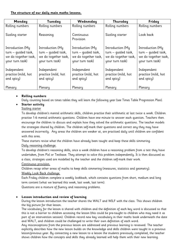# **The structure of our daily main maths lessons.**

| Monday                                                                             | Tuesday                                                                            | Wednesday                                                                          | Thursday                                                                           | Friday                                                                             |
|------------------------------------------------------------------------------------|------------------------------------------------------------------------------------|------------------------------------------------------------------------------------|------------------------------------------------------------------------------------|------------------------------------------------------------------------------------|
| Rolling numbers                                                                    | Rolling numbers                                                                    | Rolling numbers                                                                    | Rolling numbers                                                                    | Rolling numbers                                                                    |
| Sizzling starter                                                                   | Reasoning                                                                          | Continuous<br>Provision                                                            | Sizzling starter                                                                   | Look back                                                                          |
| Introduction (My<br>turn – guided task,<br>we do together task,<br>your turn task) | Introduction (My<br>turn - guided task,<br>we do together task,<br>your turn task) | Introduction (My<br>turn - guided task,<br>we do together task,<br>your turn task) | Introduction (My<br>turn - quided task,<br>we do together task,<br>your turn task) | Introduction (My<br>turn - quided task,<br>we do together task,<br>your turn task) |
| Independent<br>practice (mild, hot<br>and spicy)                                   | Independent<br>practice (mild, hot<br>and spicy)                                   | Independent<br>practice (mild, hot<br>and spicy)                                   | Independent<br>practice (mild, hot<br>and spicy)                                   | Independent<br>practice (mild, hot<br>and spicy)                                   |
| Plenary                                                                            | Plenary                                                                            | Plenary                                                                            | Plenary                                                                            | Plenary                                                                            |

# **Rolling numbers**

Daily counting based on times tables they will learn the following year (see Times Table Progression Plan).

# **Starter activity**

# Sizzling starter

To develop children's mental arithmetic skills, children practise their arithmetic at last twice a week. Children practise 1-6 mental arithmetic questions. Children have one minute to answer each question. Teachers then encourage the children to discuss and explain how they solved the arithmetic questions. The teacher models the strategies shared by children. The children self-mark their questions and correct any they may have answered incorrectly. Any areas the children are weaker at, are practised daily until children are confident with this area.

These starters revise what the children have already been taught and keep these skills simmering.

# Daily reasoning challenge.

To develop children's reasoning skills, once a week children have a reasoning problem from a test they have undertaken, from Pixl or Testbase. They attempt to solve this problem independently. It is then discussed as a class, strategies used are modelled by the teacher and the children self-mark their work.

# Continuous provision.

Children recap other areas of maths to keep skills simmering (measures, statistics and geometry).

# Weekly Look Back challenge.

Each Friday children complete a weekly lookback, which contains questions from short, medium and long term content (what we learned this week, last week, last term).

Questions are a mixture of fluency and reasoning problems.

# **Lesson introduction and review of learning**

During the lesson introduction the teacher shares the WALT and WILF with the class. This shows children the big picture for that lesson.

The vocabulary for the lesson is shared with children and the definition of each key word is discussed so that this is not a barrier to children accessing the lesson (this could be pre-taught to children who may need it as part of an intervention session). Children record new key vocabulary in their maths book underneath the date and WALT, and children could be challenged to write their own definition of each word.

Any misconceptions from the previous lesson are addressed and previous learning is reviewed. The teacher explicitly describes how the new lesson builds on the knowledge and skills children were taught in a previous lesson/previous year. By connecting a new lesson to a lesson the students previously completed, the teacher shows children how the concepts and skills they already learned will help them with their new learning.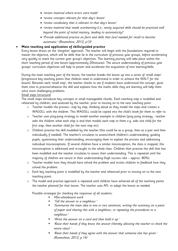- 'review material where errors were made'
- 'review concepts relevant for that day's lesson'
- 'review vocabulary that is relevant to that day's lesson'
- 'review material that needs overlearning (i.e., newly acquired skills should be practiced well beyond the point of initial mastery, leading to automaticity)'
- 'Provide additional practice on facts and skills that [are] needed for recall to become automatic.' (Rosenshine, 2012, p13)

#### **Main teaching and application of skills/guided practice**

Every lesson draws on the 'slingshot' approach. The teacher will begin with the foundations required to master the objective, which will be skills that lie in the curriculum of previous year groups, before accelerating very quickly to teach the current year group's objectives. This learning journey will take place within the short teaching period of one lesson (approximately 20minutes). The secure understanding of previous year groups' curriculum objectives will help to power and accelerate the acquisition of new learning/skills.

During the main teaching part of the lesson, the teacher breaks the lesson up into a series of 'small steps' (progressive key teaching points that children need to understand in order to achieve the WALT for the lesson). Between each 'small step', the teacher checks to see if students have understood the concept, gives them time to practise/rehearse the skill and explains how the maths skills they are learning will help them solve more challenging problems.

#### Small steps (structure)

The small steps introduces key concepts in small manageable chunks. Each teaching step is modelled and rehearsed by children, and assessed by the teacher, prior to moving on to the next teaching point.

- o Teacher models the process– step by step, thinking aloud as they model the steps and creates a WAGOLL with the children. This WAGOLL could be copied into the child's book for them to refer to.
- o Teacher uses ping-pong strategy to model another example to children (ping pong strategy teacher asks the children what each step is and then models each step to them e.g. asks one child for the first step, then another child for the next step etc).
- o Children practise the skill modelled by the teacher (this could be as a group, then as a pair and then individually if needed). The teacher/s circulates to assess/check children's understanding, guiding pupils, questioning their understanding, encouraging them to explain the process and addressing individual misconceptions. If several children have a similar misconception, the class is stopped, this misconception is addressed and re-taught to the whole class. Children then practise the skill that has been modelled and the teacher circulates to assess their understanding. This is repeated until the majority of children are secure in their understanding (high success rate – approx. 80%).
- o Teacher models how they should have solved the problem and invites children to feedback how they solved the problem.
- o Each key teaching point is modelled by the teacher and rehearsed prior to moving on to the next teaching point.
- o The model and practise approach is repeated until children have achieved all of the teaching points the teacher planned for that lesson. The teacher uses AFL to adapt the lesson as needed.

Possible strategies for checking the responses of all students:

- Mini-whiteboard work
- 'Tell the answer to a neighbour.'
- 'Summarise the main idea in one or two sentences, writing the summary on a piece of paper and sharing this with a neighbour, or repeating the procedures to a neighbour.'
- 'Write the answer on a card and then hold it up.'
- 'Raise their hands if they know the answer (thereby allowing the teacher to check the entire class).'
- 'Raise their hands if they agree with the answer that someone else has given.' (Rosenshine, 2012, p.14)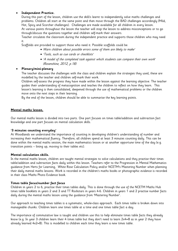# **Independent Practice.**

During this part of the lesson, children use the skill/s learnt to independently solve maths challenges and problems. Children all start at the same point and then move through the BAD challenges accordingly (Mild, Hot, Spicy and Scorcher challenges). Challenges are made available for all children in every lesson. At various points throughout the lesson the teacher will stop the lesson to address misconceptions or to go through/discuss the questions together and children self-mark their answers.

Teacher circulates the classroom during the independent practice and supports those children who may need it.

Scaffolds are provided to support those who need it. Possible scaffolds could be:

- Warn children about possible errors some of them are likely to make'
- 'Tools, such as cue cards or checklists'
- 'A model of the completed task against which students can compare their own work' (Rosenshine, 2012, p.18)

# **Plenary/mini-plenary**

The teacher discusses the challenges with the class and children explain the strategies they used, these are modelled by the teacher and children self-mark their work.

Children self-assess the progress they have made within the lesson against the learning objective. The teacher guides their understanding of metacognition and teaches the children to reflect on how they learn. This lesson's learning is then consolidated, deepened through the use of mathematical problems or the children move onto the next steps in their learning.

By the end of the lesson, children should be able to summarise the key learning points.

# **Mental maths lesson.**

Our mental maths lesson is divided into two parts. One part focuses on times table/addition and subtraction fact knowledge and one part focuses on mental calculation skills.

#### **'3 minutes counting everyday'**

At Woodlands we understand the importance of counting in developing children's understanding of number and increasing their mathematical fluency. Therefore, all children spend at least 3 minutes counting daily. This can be done within the mental maths session, the main mathematics lesson or at another opportune time of the day (e.g. transition points – lining up, moving to their tables etc).

#### **Mental calculation skills.**

In the mental maths lesson, children are taught mental strategies to solve calculations and they practise their times table/addition and subtraction facts daily within this lesson. Teachers refer to the Progression in Mental Mathematics guidance from Herts for Learning, White Rose Calculation Policy and/or NCETM's Mastering Number when planning their daily mental maths lessons. Work is recorded in the children's maths books or photographic evidence is recorded in their class Maths Photo Evidence book.

#### **Times table focus/number fact focus**

Children in years 2 to 6, practise their times tables daily. This is done through the use of the NCETM Maths Hub times table booklets in years 2 and 3 and TT Rockstars in years 4-6. Children in years 1 and 2 practise number facts daily during the mental maths lesson using the guidance from 'Mastering Number'.

Our approach to teaching times tables is a systematic, whole-class approach. Each times table is broken down into manageable chunks. Children learn one times table at a time and one times table fact a day.

The importance of commutative law is taught and children use this to help eliminate times table facts they already know (e.g. In year 3 children learn their 4 times table but they don't need to learn 2x4=8 as in year 2 they have already learned 4x2=8). This is modelled to children each time they learn a new times table.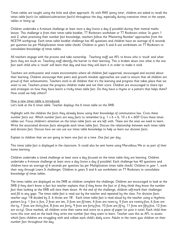Times tables are taught using the little and often approach. As with RWI 'pinny time', children are asked to recall the times table fact/s (or addition/subtraction fact/s) throughout the day, especially during transition times to the carpet, tables or lining up.

Children undertake a 4-minute challenge at least once a day (twice a day if possible) during their mental maths lesson. This challenge is from their times table booklet, TT Rockstars worksheet or TT Rockstars online. In years 1 and 2, when practising their number fact knowledge, teachers follow the 'Mastering Number' approaches from the NCETM workgroup. Each times table booklet challenge has 40 questions and children have an average of 6 seconds per question (as per Multiplication times table check). Children in years 5 and 6 use worksheets on TT Rockstars to consolidate knowledge of times tables.

All teachers engage with the process and take ownership. Teaching staff use AFL to know who is 'stuck' and what facts they are stuck on. Teaching staff identify the barrier to their learning. This is broken down into what is the one fact each child who is 'stuck' will learn that day and how they will learn it in order to make it stick.

Teachers are enthusiastic and create environments where all children feel supported, encouraged and excited about their learning. Children encourage their peers and growth mindset approaches are used to ensure that all children are proud of their achievements. Teachers instil in all children that it's the learning and progress that takes place that we want to see. Teachers praise the progress children make and not their score. Children are encouraged to share tips and strategies on how they have learnt a tricky times table fact. Do they have a rhyme or a pattern that helps them? How could we help others?

How a new times table is introduced.

Let's look at the 6 times table. Teacher displays the 6 times table on the IWB.

Highlight with the children the facts they already know using their knowledge of commutative law. Cross these number facts out. Which number facts are easy facts to remember (e.g.  $1 \times 6 = 6$ ,  $10 \times 6 = 60$ )? Cross these times tables out. Focus children's attention on the times table facts we are left with. These are the ones we need to learn. Write the associated division facts alongside each times table fact. Discuss the relationship between each times table and division fact. Discuss how we can use our times table knowledge to help us learn our division facts.

Explain to children that we are going to learn one fact at a time. One fact per day.

This times table fact is displayed in the classroom. It could also be sent home using Marvellous Me or as part of their home learning.

Children undertake a timed challenge at least once a day focused on the times table they are learning. Children undertake a 4-minute challenge at least once a day (twice a day if possible). Each challenge has 40 questions and children have an average of 6 seconds per question (as per Multiplication times table check). Children in year 1, work their way through Learn It challenges. Children in years 5 and 6 use worksheets on TT Rockstars to consolidate knowledge of times tables.

The times tables are displayed on the IWB as children complete the challenge. Children are encouraged to look at the IWB if they don't know a fact but teacher explains that if they know the fact or if they think they know the number fact then looking at the IWB will slow them down. At the end of the challenge, children self-mark their challenges and fill in any gaps. The times table fact is read out by the teacher and repeated by the class. For division facts teacher says '18 divided by 3. 6 threes are 18'. Each times table fact is read aloud by the teacher using a rhythmic pattern (e.g. 1 five is five, 2 fives are ten, 3 fives are fif-teen, 4 fives are twen-ty, 5 fives are twenty-five, 6 fives are thir-ty, 7 fives are thirty-five, 8 fives are forty, 9 fives are forty-five, 10 fives are fif-ty, 11 fives are fifty-five, 12 fives are six-ty). Once marked, all children write their name and score on a piece of paper (or post it note). Each child then turns this over and on the back they write one number fact they want to learn. Teacher uses this as AFL to assess which facts children are struggling with and collate each child's daily score. Adults in the room quiz children on their number fact throughout the day.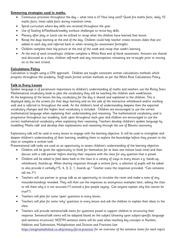#### **Simmering strategies used in maths.**

- Continuous provision throughout the day what time is it? How long until? Quick fire maths facts, daily 10 maths facts, times table facts during transition times.
- Spiral curriculum where key skills are revisited throughout the year.
- Use of Sizzling 6/Flashback/weekly workout challenges to revise key skills.
- Plenary after play or lunch can be utilised to recap what the children have learned that lesson.
- Recap the days learning at the end of the day. Children could help teacher create revision slides that are added to each day and referred back to when revising for assessment fortnights.
- Children complete their big picture at the end of the week and recap that week's learning.
- At the end of each strand/topic children complete a White Rose end of block assessment. Answers are shared and discussed as a class, children self-mark and any misconceptions remaining are re-taught prior to moving on to the next strand.

# **Calculations Policy**

Calculation is taught using a CPA approach. Children are taught consistent written calculations methods which progress throughout the academy. Staff teach formal written methods as per the White Rose Calculations Policy.

#### **Talk in Every Lesson**

Spoken language is of paramount importance to children's understanding of maths and teachers use the Rising Stars Mathematical vocabulary book to plan the vocabulary they will be teaching the children each week/lesson. At the beginning of the lesson the key vocabulary for the day is shared and explained to the children. This is displayed daily on the screens for that days learning and on the side of the interactive whiteboard and/or working wall and is referred to throughout the week. As the children's level of understanding deepens then the expected vocabulary changes and this higher level vocabulary is included. Children are encouraged to use the correct mathematical language when explaining their understanding and reasoning. The mathematical vocabulary used is progressive throughout our academy, built upon throughout each year and children are encouraged to use the correct mathematical vocabulary when explaining their reasoning. Teachers develop children's spoken language by modelling 'Maths talk' and develop their explanations and reasoning through the use of Blooms taxonomy.

Exploratory talk will be used in every lesson to engage with the learning objective. It will be used to strengthen and deepen children's understanding of their learning, enabling them to explore the knowledge before they present to the class or complete a written task.

Presentational talk tasks are used as an opportunity to assess children's understanding of the learning objective.

- Children will be given the opportunity to think for themselves for at least one minute (wait time) and then discuss with a talk partner before sharing their response with the class for any question that is posed.
- Children will be asked to feed ideas back to the class in a variety of ways in every lesson e.g. hands-up, whiteboard, thumbs-up. When sharing responses through a written form, a selection of pupils will be asked to also provide it verbally ("5, 4, 3, 2, 1, boards up." Teacher scans the responses provided. "Can someone tell me…?")
- Teachers will use partner or group talk as an opportunity to circulate the room and make a note of any misunderstandings revealed. They will then use the responses as anonymous examples later, asking the class to tell them why it is not accurate ("I noticed a few people saying… Can anyone explain why this cannot be true?").
- Teachers will plan for some 'open' questions in every lesson.
- Teachers will plan for some 'why' questions in every lesson and ask the children to explain their ideas to the class.
- Teachers will provide sentence/talk stems for questions posed to support children in structuring their response. Sentence/talk stems will be adapted based on the subject (drawing upon subject-specific language and sentence structures). NCETM sentence stems will be used when teaching key concepts in Number, Addition and Subtraction, Multiplication and Division and Fractions (see <https://enigmamathshub.co.uk/primary-tfm-in-practice/> for an overview of the sentence stems for each topic).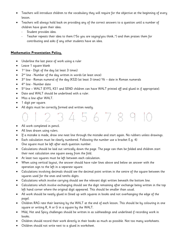- Teachers will introduce children to the vocabulary they will require for the objective at the beginning of every lesson.
- Teachers will always hold back on providing any of the correct answers to a question until a number of children have given their idea:
	- Student provides idea.
	- Teacher repeats their idea to them ("So you are saying/you think…") and then praises them for contributing and asks if any other students have an idea.

# **Mathematics Presentation Policy.**

- Underline the last piece of work using a ruler
- Leave 1 square blank
- 1 st line Digit of the day (at least 3 times)
- $\bullet$  2<sup>nd</sup> line Number of the day written in words (at least once)
- $\bullet$   $\,$   $\,$  3<sup>rd</sup> line Roman numeral of the day (KS2) (at least 3 times) Y6 date in Roman numerals
- $\bullet$  4<sup>th</sup> line Number date
- 5<sup>th</sup> line WALT (EYFS, KS1 and SEND children can have WALT printed off and glued in if appropriate).
- Date and WALT should be underlined with a ruler.
- Miss a line after WALT.
- 1 digit per square.
- All digits must be correctly formed and written neatly.



- All work completed in pencil.
- All lines drawn using rulers.
- If a mistake is made, draw one neat line through the mistake and start again. No rubbers unless drawings.
- Each calculation must be clearly numbered. Following the number use a bracket E.g. 4) One square must be left after each question number.
- Calculations should be laid out vertically down the page. The page can then be folded and children start their next calculation one square away from the fold.
- At least two squares must be left between each calculation.
- When using vertical layout, the answer should have ruler lines above and below an answer with the operation sign to the left in a separate square.
- Calculations involving decimals should see the decimal point written in the centre of the square between the squares used for the ones and tenths digits.
- Calculations which involve carrying should see the relevant digit written beneath the bottom line.
- Calculations which involve exchanging should see the digit remaining after exchange being written in the top left hand corner where the original digit appeared. This should be smaller than usual.
- All work should be neatly glued in (lined up with squares in books and not overhanging the edge of the page).
- Children RAG rate their learning by the WALT at the end of each lesson. This should be by colouring in one square or writing R, A or G in a square by the WALT.
- Mild, Hot and Spicy challenges should be written in as subheadings and underlined if recording work in books.
- Children should record their work directly in their books as much as possible. Not too many worksheets.
- Children should not write next to a glued in worksheet.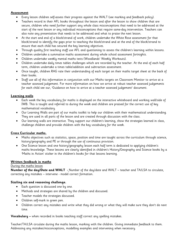# **Assessment**

- Every lesson children self-assess their progress against the WALT (see marking and feedback policy).
- Teachers record in their AFL books throughout the lesson and after the lesson to show children that are secure, children who need further support any whole class misconceptions that need to be addressed at the start of the next lesson or any individual misconceptions that require same-day intervention. Teachers can also note any presentation that needs to be addressed and what to praise the next lesson.
- At the start and end of a block/strand of work, children undertake the White Rose assessment for that block/strand to identify the gaps prior to teaching the block/strand and at the end of the block/strand to ensure that each child has secured the key learning objectives.
- Through quality first teaching staff use AFL and questioning to assess the children's learning within lessons.
- Children undertake a summative maths assessment during whole school assessment fortnights.
- Children undertake weekly mental maths tests (Woodlands' Weekly Workouts).
- Children undertake daily times tables challenges which are recorded by the teacher. At the end of each half term, children undertake a times table/addition and subtraction assessment.
- Once taught, children RAG rate their understanding of each target on their maths target sheet at the back of their books.
- Staff use all of this information in conjunction with our Maths targets on Classroom Monitor to arrive at a teacher assessed judgement. For more information on how we arrive at robust teacher assessed judgements for each child see our, 'Guidance on how to arrive at a teacher assessed judgement' document.

# **Learning walls**

- Each week the key vocabulary for maths is displayed on the interactive whiteboard and working wall/side of IWB. This is taught and referred to during the week and children are praised for the correct use of key mathematical vocabulary.
- Our Learning Walls are part of our maths toolkit to help our children with their mathematical understanding. They are used in all parts of the lesson and are created through discussion with the class.
- Our learning walls are interactive. They support our children's learning, show the strategies learned in class, challenge children and provide children with the key vocabulary for the week.

# **Cross Curricular maths.**

- Maths objectives such as statistics, space, position and time are taught across the curriculum through science, history/geography and PE or through the use of continuous provision.
- One Science lesson and one history/geography lesson each half term is dedicated to applying children's maths knowledge. These lessons are clearly identified in children's History/Geography and Science books by a 'Maths in Action' sticker in the children's books for that lessons learning.

# **Written feedback in maths**

# During the maths lesson

**Number of the day/Date and WALT -** Number of the day/date and WALT – teacher and TA/LSA to circulate, correcting any mistakes – intervene - model correct formation.

# **Sizzling six and reasoning challenge.**

- Each question is discussed one by one.
- Methods and strategies are shared by the children and discussed.
- Teacher models the strategies discussed.
- Children self-mark in green pen.
- Children correct any mistakes and write what they did wrong or what they will make sure they don't do next time.

**Vocabulary –** when recorded in books teaching staff correct any spelling mistakes.

Teacher/TA/LSA circulate during the maths lesson, marking with the children. Giving immediate feedback to them. Addressing any mistakes/misconceptions, modelling examples and intervening when necessary.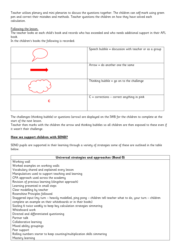Teacher utilises plenary and mini plenaries to discuss the questions together. The children can self-mark using green pen and correct their mistakes and methods. Teacher questions the children on how they have solved each calculation.

#### Following the lesson.

The teacher looks at each child's book and records who has exceeded and who needs additional support in their AFL book.

In the children's books the following is recorded:

| Speech bubble = discussion with teacher or as a group |
|-------------------------------------------------------|
| Arrow $=$ do another one the same                     |
| Thinking bubble $=$ go on to the challenge            |
| $C =$ corrections – correct anything in pink          |

The challenges (thinking bubble) or questions (arrow) are displayed on the IWB for the children to complete at the start of the next lesson.

Teacher then marks with the children the arrow and thinking bubbles so all children are then exposed to these even if it wasn't their challenge.

#### **How we support children with SEND?**

SEND pupils are supported in their learning through a variety of strategies some of these are outlined in the table below.

| Universal strategies and approaches (Band 0)                                                                    |  |  |  |
|-----------------------------------------------------------------------------------------------------------------|--|--|--|
| Working wall                                                                                                    |  |  |  |
| Worked examples on working walls                                                                                |  |  |  |
| Vocabulary shared and explained every lesson                                                                    |  |  |  |
| Manipulatives used to support teaching and learning                                                             |  |  |  |
| CPA approach used across the academy                                                                            |  |  |  |
| Revision of previous learning (slingshot approach)                                                              |  |  |  |
| Learning presented in small steps                                                                               |  |  |  |
| Clear modelling by teacher                                                                                      |  |  |  |
| Rosenshine Principles followed                                                                                  |  |  |  |
| Staggered input (my turn – heavily modelled, ping pong – children tell teacher what to do, your turn – children |  |  |  |
| complete an example on their whiteboards or in their books)                                                     |  |  |  |
| Sizzling 6 twice weekly to keep key calculation strategies simmering                                            |  |  |  |
| Whiteboard work                                                                                                 |  |  |  |
| Directed and differentiated questioning                                                                         |  |  |  |
| Partner talk                                                                                                    |  |  |  |
| Collaborative learning                                                                                          |  |  |  |
| Mixed ability groupings                                                                                         |  |  |  |
| Peer support                                                                                                    |  |  |  |
| Rolling numbers starter to keep counting/multiplication skills simmering                                        |  |  |  |
| Mastery learning                                                                                                |  |  |  |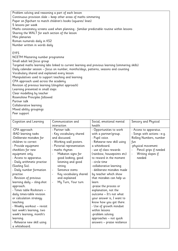Problem solving and reasoning a part of each lesson Continuous provision slide – keep other areas of maths simmering Paper on flipchart to match children's books (squares/ lines) 5 lessons per week Maths consistency screens used when planning - familiar predictable routine within lessons Sharing the WALT for each section of the lesson Mini plenaries Roman numerals daily in KS2 Number written in words daily

# EYFS

NCETM Mastering number programme Small adult led focus group Targeted maths learning labs linked to current learning and previous learning (simmering skills) Daily calendar session – focus on number, months/days, patterns, seasons and counting Vocabulary shared and explained every lesson Manipulatives used to support teaching and learning CPA approach used across the academy Revision of previous learning (slingshot approach) Learning presented in small steps Clear modelling by teacher Rosenshine Principles followed Partner talk Collaborative learning Mixed ability groupings

Peer support

| Cognition and Learning                                                                                                                                                                                                                                                                                                                                                                                                                       | Communication and                                                                                                                                            | Social, emotional mental                                                                                                                                                                                                                                                                                                                                                                                                        | Sensory and Physical                                                                                                                                                                    |
|----------------------------------------------------------------------------------------------------------------------------------------------------------------------------------------------------------------------------------------------------------------------------------------------------------------------------------------------------------------------------------------------------------------------------------------------|--------------------------------------------------------------------------------------------------------------------------------------------------------------|---------------------------------------------------------------------------------------------------------------------------------------------------------------------------------------------------------------------------------------------------------------------------------------------------------------------------------------------------------------------------------------------------------------------------------|-----------------------------------------------------------------------------------------------------------------------------------------------------------------------------------------|
|                                                                                                                                                                                                                                                                                                                                                                                                                                              | interaction                                                                                                                                                  | health                                                                                                                                                                                                                                                                                                                                                                                                                          |                                                                                                                                                                                         |
| -CPA approach<br>-BAD learning tasks<br>-Deliberate mistakes for<br>children to correct<br>- Provide equipment<br>checklists for new<br>equipment only.                                                                                                                                                                                                                                                                                      | - Partner talk.<br>- Key vocabulary shared<br>and discussed.<br>- Working wall posters.<br>- Pictorial representation<br>- maths rhymes<br>Makaton signs for | - Opportunities to work<br>with a partner/group.<br>- Pupil voice.<br>- Rehearse new skill using<br>a whiteboard.<br>- use of class rewards<br>(rainbow, housepoints etc)                                                                                                                                                                                                                                                       | - Access to apparatus.<br>- Songs with actions -e.g.<br>Rolling Numbers, number<br>fun<br>-physical movement<br>Pencil grips if needed<br>Writing slopes if<br>$\overline{\phantom{a}}$ |
| - Access to apparatus.<br>- Daily arithmetic practise<br>(Sizzling Six).<br>- Daily number formation<br>practise.<br>- Revision of previous<br>learning daily - sling-shot<br>approach.<br>- Times table Rockstars —<br>daily times-table revision<br>or calculation strategy<br>teaching<br>- Weekly workout – revisit<br>last week's learning, two<br>week's learning, month's<br>learning.<br>- Rehearse new skill using<br>a whiteboard. | good looking, good<br>listening and good<br>sitting<br>Sentence stems<br>Key vocabulary shared<br>and explained<br>My Turn, Your turn<br>$\blacksquare$      | to reward in the moment<br>- circle time<br>-collaborative learning<br>- deliberate mistakes made<br>by teacher which show<br>that mistakes can help us<br>learn<br>-praise the process or<br>explanation, not the<br>outcome - It's not what<br>your answer is, I want to<br>know how you got there.<br>- Use of growth mindset<br>within lessons<br>-problem solving<br>approaches - not quick<br>answers - praise resilience | needed                                                                                                                                                                                  |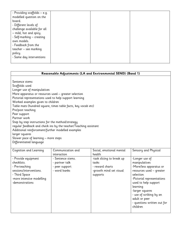| - Providing scaffolds - e.g. |  |  |
|------------------------------|--|--|
| modelled question on the     |  |  |
| board.                       |  |  |
| - Different levels of        |  |  |
| challenge available for all  |  |  |
| - mild, hot and spicy.       |  |  |
| - Self-marking - creating    |  |  |
| own models.                  |  |  |
| - Feedback from the          |  |  |
| teacher - see marking        |  |  |
| policy.                      |  |  |
| - Same day interventions     |  |  |
|                              |  |  |

| Reasonable Adjustments (LA and Environmental SEND) (Band 1) |                                                                  |                           |                            |
|-------------------------------------------------------------|------------------------------------------------------------------|---------------------------|----------------------------|
|                                                             |                                                                  |                           |                            |
| Sentence stems                                              |                                                                  |                           |                            |
| Scaffolds used                                              |                                                                  |                           |                            |
| Longer use of manipulatives                                 |                                                                  |                           |                            |
| More apparatus or resources used - greater selection        |                                                                  |                           |                            |
| Pictorial representations used to help support learning     |                                                                  |                           |                            |
| Worked examples given to children                           |                                                                  |                           |                            |
|                                                             | Table mats (hundred square, times table facts, key vocab etc)    |                           |                            |
| Pre/post teaching                                           |                                                                  |                           |                            |
| Peer support                                                |                                                                  |                           |                            |
| Partner work                                                |                                                                  |                           |                            |
| Step by step instructions for the method/strategy           |                                                                  |                           |                            |
|                                                             | regular feedback and check ins by the teacher/Teaching assistant |                           |                            |
| Additional reinforcement/further modelled examples          |                                                                  |                           |                            |
| larger squares                                              |                                                                  |                           |                            |
| Slower pace of learning - more steps                        |                                                                  |                           |                            |
| Differentiated language                                     |                                                                  |                           |                            |
| Cognition and Learning                                      | Communication and                                                | Social, emotional mental  | Sensory and Physical       |
|                                                             | interaction                                                      | health                    |                            |
| - Provide equipment                                         | - Sentence stems.                                                | -task slicing to break up | -Longer use of             |
| checklists.                                                 | - partner talk                                                   | tasks                     | manipulatives              |
| - Pre-teaching                                              | - peer support                                                   | - reward charts           | -More/less apparatus or    |
| sessions/interventions.                                     | - word banks                                                     | -growth mind set visual   | resources used - greater   |
| - Third Space                                               |                                                                  | supports                  | selection                  |
| -more intensive modelling                                   |                                                                  |                           | -Pictorial representations |

used to help support

- use of scribing by an

- questions written out for

learning

children

-larger squares

adult or peer

-demonstrations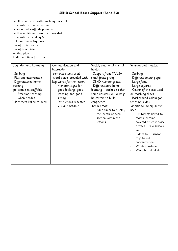# **SEND School Based Support (Band 2-3)**

| Cognition and Learning                                                                                                                                                   | Communication and                                                                                                                                                                                                                  | Social, emotional mental                                                                                                                                                                                                                                                                        | Sensory and Physical                                                                                                                                                                                                                                                                                                                                                                                                    |
|--------------------------------------------------------------------------------------------------------------------------------------------------------------------------|------------------------------------------------------------------------------------------------------------------------------------------------------------------------------------------------------------------------------------|-------------------------------------------------------------------------------------------------------------------------------------------------------------------------------------------------------------------------------------------------------------------------------------------------|-------------------------------------------------------------------------------------------------------------------------------------------------------------------------------------------------------------------------------------------------------------------------------------------------------------------------------------------------------------------------------------------------------------------------|
|                                                                                                                                                                          | interaction                                                                                                                                                                                                                        | health                                                                                                                                                                                                                                                                                          |                                                                                                                                                                                                                                                                                                                                                                                                                         |
| - Scribing<br>- Plus one intervention<br>- Differentiated home<br>learning<br>-personalised scaffolds<br>Precision teaching<br>when needed<br>ILP targets linked to need | -sentence stems used<br>-word banks provided with<br>key words for the lesson<br>Makaton signs for<br>good looking, good<br>listening and good<br>sitting<br>Instructions repeated<br>$\overline{\phantom{a}}$<br>Visual timetable | - Support from TA/LSA -<br>small focus group<br>- SEND nurture group.<br>- Differentiated home<br>learning - pitched so that<br>some answers will always<br>be correct to build<br>confidence.<br>-brain breaks<br>Sand timer to display<br>the length of each<br>section within the<br>lessons | - Scribing<br>- Different colour paper.<br>- Large font.<br>- Large squares.<br>- Colour of the text used<br>on teaching slides<br>- Background colour for<br>teaching slides<br>-additional manipulatives<br>used<br>ILP targets linked to<br>maths learning<br>covered at least twice<br>a week – in a sensory<br>way.<br>Fidget toys/ sensory<br>toys to aid<br>concentration<br>Wobble cushion<br>Weighted blankets |
|                                                                                                                                                                          |                                                                                                                                                                                                                                    |                                                                                                                                                                                                                                                                                                 |                                                                                                                                                                                                                                                                                                                                                                                                                         |